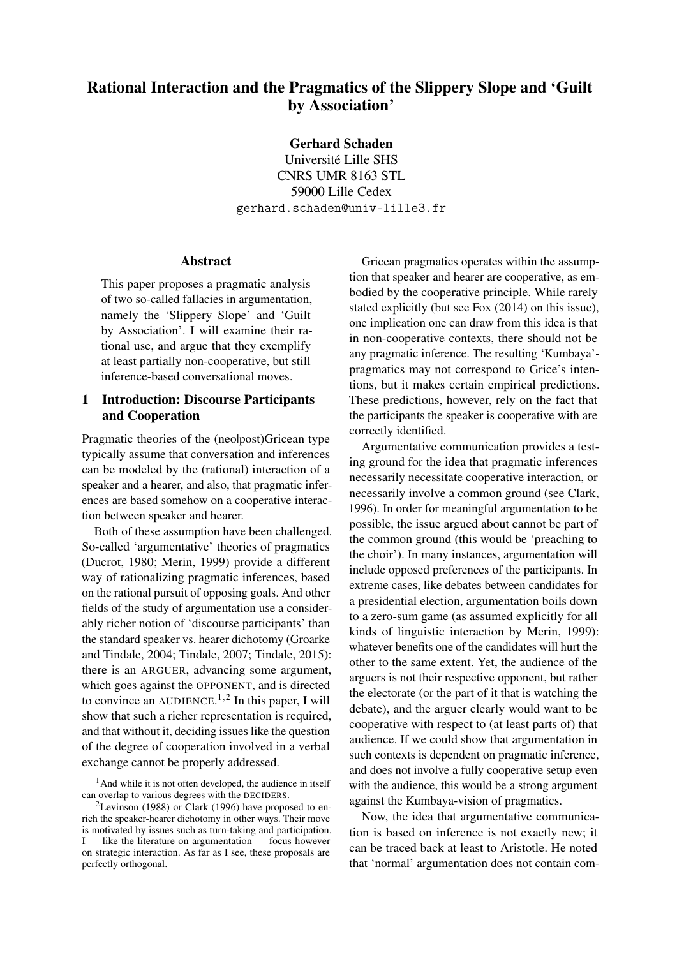# Rational Interaction and the Pragmatics of the Slippery Slope and 'Guilt by Association'

Gerhard Schaden

Université Lille SHS CNRS UMR 8163 STL 59000 Lille Cedex gerhard.schaden@univ-lille3.fr

#### Abstract

This paper proposes a pragmatic analysis of two so-called fallacies in argumentation, namely the 'Slippery Slope' and 'Guilt by Association'. I will examine their rational use, and argue that they exemplify at least partially non-cooperative, but still inference-based conversational moves.

## 1 Introduction: Discourse Participants and Cooperation

Pragmatic theories of the (neolpost)Gricean type typically assume that conversation and inferences can be modeled by the (rational) interaction of a speaker and a hearer, and also, that pragmatic inferences are based somehow on a cooperative interaction between speaker and hearer.

Both of these assumption have been challenged. So-called 'argumentative' theories of pragmatics (Ducrot, 1980; Merin, 1999) provide a different way of rationalizing pragmatic inferences, based on the rational pursuit of opposing goals. And other fields of the study of argumentation use a considerably richer notion of 'discourse participants' than the standard speaker vs. hearer dichotomy (Groarke and Tindale, 2004; Tindale, 2007; Tindale, 2015): there is an ARGUER, advancing some argument, which goes against the OPPONENT, and is directed to convince an AUDIENCE.<sup>1,2</sup> In this paper, I will show that such a richer representation is required, and that without it, deciding issues like the question of the degree of cooperation involved in a verbal exchange cannot be properly addressed.

Gricean pragmatics operates within the assumption that speaker and hearer are cooperative, as embodied by the cooperative principle. While rarely stated explicitly (but see Fox (2014) on this issue), one implication one can draw from this idea is that in non-cooperative contexts, there should not be any pragmatic inference. The resulting 'Kumbaya' pragmatics may not correspond to Grice's intentions, but it makes certain empirical predictions. These predictions, however, rely on the fact that the participants the speaker is cooperative with are correctly identified.

Argumentative communication provides a testing ground for the idea that pragmatic inferences necessarily necessitate cooperative interaction, or necessarily involve a common ground (see Clark, 1996). In order for meaningful argumentation to be possible, the issue argued about cannot be part of the common ground (this would be 'preaching to the choir'). In many instances, argumentation will include opposed preferences of the participants. In extreme cases, like debates between candidates for a presidential election, argumentation boils down to a zero-sum game (as assumed explicitly for all kinds of linguistic interaction by Merin, 1999): whatever benefits one of the candidates will hurt the other to the same extent. Yet, the audience of the arguers is not their respective opponent, but rather the electorate (or the part of it that is watching the debate), and the arguer clearly would want to be cooperative with respect to (at least parts of) that audience. If we could show that argumentation in such contexts is dependent on pragmatic inference, and does not involve a fully cooperative setup even with the audience, this would be a strong argument against the Kumbaya-vision of pragmatics.

Now, the idea that argumentative communication is based on inference is not exactly new; it can be traced back at least to Aristotle. He noted that 'normal' argumentation does not contain com-

 $<sup>1</sup>$ And while it is not often developed, the audience in itself</sup> can overlap to various degrees with the DECIDERS.

<sup>&</sup>lt;sup>2</sup>Levinson (1988) or Clark (1996) have proposed to enrich the speaker-hearer dichotomy in other ways. Their move is motivated by issues such as turn-taking and participation. I — like the literature on argumentation — focus however on strategic interaction. As far as I see, these proposals are perfectly orthogonal.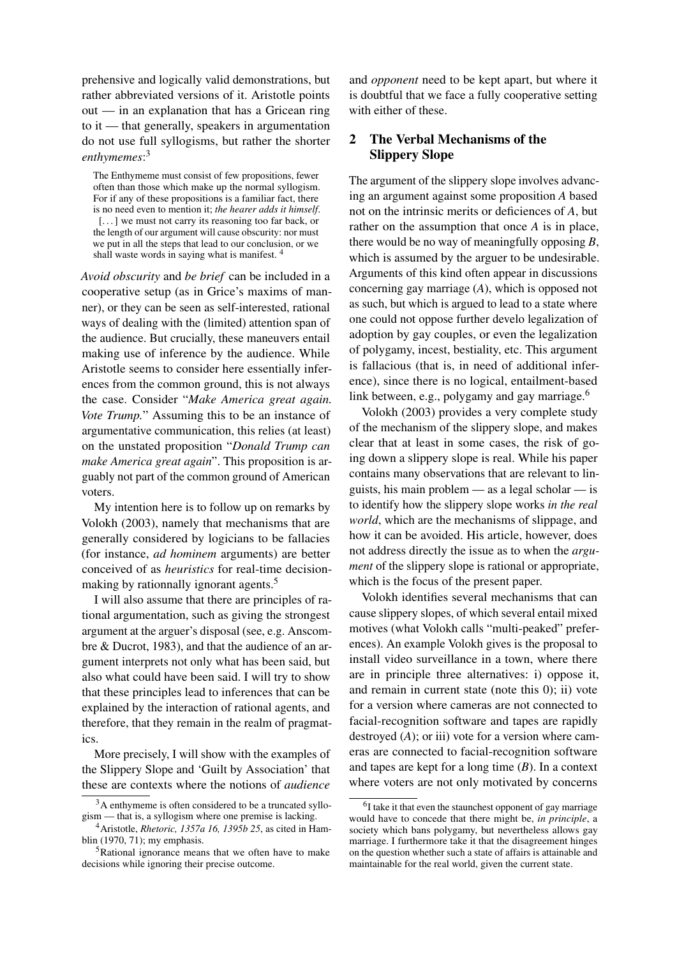prehensive and logically valid demonstrations, but rather abbreviated versions of it. Aristotle points out — in an explanation that has a Gricean ring to it — that generally, speakers in argumentation do not use full syllogisms, but rather the shorter *enthymemes*: 3

The Enthymeme must consist of few propositions, fewer often than those which make up the normal syllogism. For if any of these propositions is a familiar fact, there is no need even to mention it; *the hearer adds it himself*. [...] we must not carry its reasoning too far back, or the length of our argument will cause obscurity: nor must we put in all the steps that lead to our conclusion, or we shall waste words in saying what is manifest. <sup>4</sup>

*Avoid obscurity* and *be brief* can be included in a cooperative setup (as in Grice's maxims of manner), or they can be seen as self-interested, rational ways of dealing with the (limited) attention span of the audience. But crucially, these maneuvers entail making use of inference by the audience. While Aristotle seems to consider here essentially inferences from the common ground, this is not always the case. Consider "*Make America great again. Vote Trump.*" Assuming this to be an instance of argumentative communication, this relies (at least) on the unstated proposition "*Donald Trump can make America great again*". This proposition is arguably not part of the common ground of American voters.

My intention here is to follow up on remarks by Volokh (2003), namely that mechanisms that are generally considered by logicians to be fallacies (for instance, *ad hominem* arguments) are better conceived of as *heuristics* for real-time decisionmaking by rationnally ignorant agents.<sup>5</sup>

I will also assume that there are principles of rational argumentation, such as giving the strongest argument at the arguer's disposal (see, e.g. Anscombre & Ducrot, 1983), and that the audience of an argument interprets not only what has been said, but also what could have been said. I will try to show that these principles lead to inferences that can be explained by the interaction of rational agents, and therefore, that they remain in the realm of pragmatics.

More precisely, I will show with the examples of the Slippery Slope and 'Guilt by Association' that these are contexts where the notions of *audience*

and *opponent* need to be kept apart, but where it is doubtful that we face a fully cooperative setting with either of these.

## 2 The Verbal Mechanisms of the Slippery Slope

The argument of the slippery slope involves advancing an argument against some proposition *A* based not on the intrinsic merits or deficiences of *A*, but rather on the assumption that once *A* is in place, there would be no way of meaningfully opposing *B*, which is assumed by the arguer to be undesirable. Arguments of this kind often appear in discussions concerning gay marriage (*A*), which is opposed not as such, but which is argued to lead to a state where one could not oppose further develo legalization of adoption by gay couples, or even the legalization of polygamy, incest, bestiality, etc. This argument is fallacious (that is, in need of additional inference), since there is no logical, entailment-based link between, e.g., polygamy and gay marriage.<sup>6</sup>

Volokh (2003) provides a very complete study of the mechanism of the slippery slope, and makes clear that at least in some cases, the risk of going down a slippery slope is real. While his paper contains many observations that are relevant to linguists, his main problem — as a legal scholar — is to identify how the slippery slope works *in the real world*, which are the mechanisms of slippage, and how it can be avoided. His article, however, does not address directly the issue as to when the *argument* of the slippery slope is rational or appropriate, which is the focus of the present paper.

Volokh identifies several mechanisms that can cause slippery slopes, of which several entail mixed motives (what Volokh calls "multi-peaked" preferences). An example Volokh gives is the proposal to install video surveillance in a town, where there are in principle three alternatives: i) oppose it, and remain in current state (note this 0); ii) vote for a version where cameras are not connected to facial-recognition software and tapes are rapidly destroyed (*A*); or iii) vote for a version where cameras are connected to facial-recognition software and tapes are kept for a long time (*B*). In a context where voters are not only motivated by concerns

<sup>3</sup>A enthymeme is often considered to be a truncated syllogism — that is, a syllogism where one premise is lacking.

<sup>4</sup>Aristotle, *Rhetoric, 1357a 16, 1395b 25*, as cited in Hamblin (1970, 71); my emphasis.

<sup>5</sup>Rational ignorance means that we often have to make decisions while ignoring their precise outcome.

<sup>&</sup>lt;sup>6</sup>I take it that even the staunchest opponent of gay marriage would have to concede that there might be, *in principle*, a society which bans polygamy, but nevertheless allows gay marriage. I furthermore take it that the disagreement hinges on the question whether such a state of affairs is attainable and maintainable for the real world, given the current state.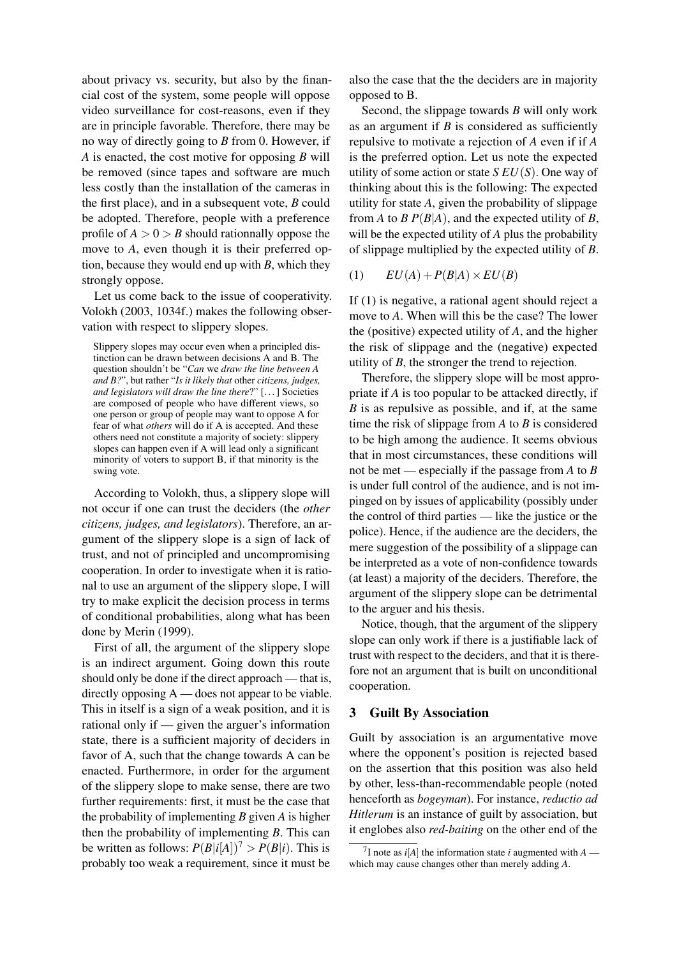about privacy vs. security, but also by the financial cost of the system, some people will oppose video surveillance for cost-reasons, even if they are in principle favorable. Therefore, there may be no way of directly going to *B* from 0. However, if *A* is enacted, the cost motive for opposing *B* will be removed (since tapes and software are much less costly than the installation of the cameras in the first place), and in a subsequent vote, *B* could be adopted. Therefore, people with a preference profile of  $A > 0 > B$  should rationnally oppose the move to *A*, even though it is their preferred option, because they would end up with *B*, which they strongly oppose.

Let us come back to the issue of cooperativity. Volokh (2003, 1034f.) makes the following observation with respect to slippery slopes.

Slippery slopes may occur even when a principled distinction can be drawn between decisions A and B. The question shouldn't be "*Can* we *draw the line between A and B?*", but rather "*Is it likely that* other *citizens, judges, and legislators will draw the line there*?" [. . . ] Societies are composed of people who have different views, so one person or group of people may want to oppose A for fear of what *others* will do if A is accepted. And these others need not constitute a majority of society: slippery slopes can happen even if A will lead only a significant minority of voters to support B, if that minority is the swing vote.

According to Volokh, thus, a slippery slope will not occur if one can trust the deciders (the *other citizens, judges, and legislators*). Therefore, an argument of the slippery slope is a sign of lack of trust, and not of principled and uncompromising cooperation. In order to investigate when it is rational to use an argument of the slippery slope, I will try to make explicit the decision process in terms of conditional probabilities, along what has been done by Merin (1999).

First of all, the argument of the slippery slope is an indirect argument. Going down this route should only be done if the direct approach — that is, directly opposing  $A$  — does not appear to be viable. This in itself is a sign of a weak position, and it is rational only if — given the arguer's information state, there is a sufficient majority of deciders in favor of A, such that the change towards A can be enacted. Furthermore, in order for the argument of the slippery slope to make sense, there are two further requirements: first, it must be the case that the probability of implementing *B* given *A* is higher then the probability of implementing *B*. This can be written as follows:  $P(B|i[A])^7 > P(B|i)$ . This is probably too weak a requirement, since it must be

also the case that the the deciders are in majority opposed to B.

Second, the slippage towards *B* will only work as an argument if *B* is considered as sufficiently repulsive to motivate a rejection of *A* even if if *A* is the preferred option. Let us note the expected utility of some action or state *S EU*(*S*). One way of thinking about this is the following: The expected utility for state *A*, given the probability of slippage from *A* to *B*  $P(B|A)$ , and the expected utility of *B*, will be the expected utility of *A* plus the probability of slippage multiplied by the expected utility of *B*.

$$
(1) \qquad EU(A) + P(B|A) \times EU(B)
$$

If (1) is negative, a rational agent should reject a move to *A*. When will this be the case? The lower the (positive) expected utility of *A*, and the higher the risk of slippage and the (negative) expected utility of *B*, the stronger the trend to rejection.

Therefore, the slippery slope will be most appropriate if *A* is too popular to be attacked directly, if *B* is as repulsive as possible, and if, at the same time the risk of slippage from *A* to *B* is considered to be high among the audience. It seems obvious that in most circumstances, these conditions will not be met — especially if the passage from *A* to *B* is under full control of the audience, and is not impinged on by issues of applicability (possibly under the control of third parties — like the justice or the police). Hence, if the audience are the deciders, the mere suggestion of the possibility of a slippage can be interpreted as a vote of non-confidence towards (at least) a majority of the deciders. Therefore, the argument of the slippery slope can be detrimental to the arguer and his thesis.

Notice, though, that the argument of the slippery slope can only work if there is a justifiable lack of trust with respect to the deciders, and that it is therefore not an argument that is built on unconditional cooperation.

### 3 Guilt By Association

Guilt by association is an argumentative move where the opponent's position is rejected based on the assertion that this position was also held by other, less-than-recommendable people (noted henceforth as *bogeyman*). For instance, *reductio ad Hitlerum* is an instance of guilt by association, but it englobes also *red-baiting* on the other end of the

<sup>&</sup>lt;sup>7</sup>I note as  $i[A]$  the information state *i* augmented with  $A$  which may cause changes other than merely adding *A*.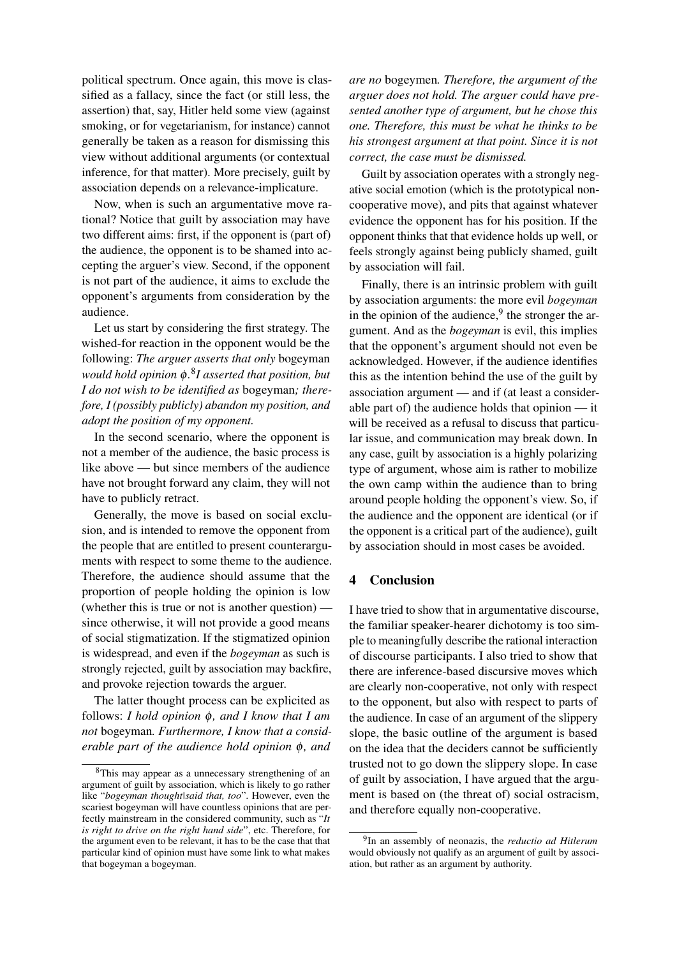political spectrum. Once again, this move is classified as a fallacy, since the fact (or still less, the assertion) that, say, Hitler held some view (against smoking, or for vegetarianism, for instance) cannot generally be taken as a reason for dismissing this view without additional arguments (or contextual inference, for that matter). More precisely, guilt by association depends on a relevance-implicature.

Now, when is such an argumentative move rational? Notice that guilt by association may have two different aims: first, if the opponent is (part of) the audience, the opponent is to be shamed into accepting the arguer's view. Second, if the opponent is not part of the audience, it aims to exclude the opponent's arguments from consideration by the audience.

Let us start by considering the first strategy. The wished-for reaction in the opponent would be the following: *The arguer asserts that only* bogeyman *would hold opinion* φ*.* 8 *I asserted that position, but I do not wish to be identified as* bogeyman*; therefore, I (possibly publicly) abandon my position, and adopt the position of my opponent.*

In the second scenario, where the opponent is not a member of the audience, the basic process is like above — but since members of the audience have not brought forward any claim, they will not have to publicly retract.

Generally, the move is based on social exclusion, and is intended to remove the opponent from the people that are entitled to present counterarguments with respect to some theme to the audience. Therefore, the audience should assume that the proportion of people holding the opinion is low (whether this is true or not is another question) since otherwise, it will not provide a good means of social stigmatization. If the stigmatized opinion is widespread, and even if the *bogeyman* as such is strongly rejected, guilt by association may backfire, and provoke rejection towards the arguer.

The latter thought process can be explicited as follows: *I hold opinion* φ*, and I know that I am not* bogeyman*. Furthermore, I know that a considerable part of the audience hold opinion* φ*, and*

*are no* bogeymen*. Therefore, the argument of the arguer does not hold. The arguer could have presented another type of argument, but he chose this one. Therefore, this must be what he thinks to be his strongest argument at that point. Since it is not correct, the case must be dismissed.*

Guilt by association operates with a strongly negative social emotion (which is the prototypical noncooperative move), and pits that against whatever evidence the opponent has for his position. If the opponent thinks that that evidence holds up well, or feels strongly against being publicly shamed, guilt by association will fail.

Finally, there is an intrinsic problem with guilt by association arguments: the more evil *bogeyman* in the opinion of the audience, $9$  the stronger the argument. And as the *bogeyman* is evil, this implies that the opponent's argument should not even be acknowledged. However, if the audience identifies this as the intention behind the use of the guilt by association argument — and if (at least a considerable part of) the audience holds that opinion — it will be received as a refusal to discuss that particular issue, and communication may break down. In any case, guilt by association is a highly polarizing type of argument, whose aim is rather to mobilize the own camp within the audience than to bring around people holding the opponent's view. So, if the audience and the opponent are identical (or if the opponent is a critical part of the audience), guilt by association should in most cases be avoided.

### 4 Conclusion

I have tried to show that in argumentative discourse, the familiar speaker-hearer dichotomy is too simple to meaningfully describe the rational interaction of discourse participants. I also tried to show that there are inference-based discursive moves which are clearly non-cooperative, not only with respect to the opponent, but also with respect to parts of the audience. In case of an argument of the slippery slope, the basic outline of the argument is based on the idea that the deciders cannot be sufficiently trusted not to go down the slippery slope. In case of guilt by association, I have argued that the argument is based on (the threat of) social ostracism, and therefore equally non-cooperative.

<sup>&</sup>lt;sup>8</sup>This may appear as a unnecessary strengthening of an argument of guilt by association, which is likely to go rather like "*bogeyman thought|said that, too*". However, even the scariest bogeyman will have countless opinions that are perfectly mainstream in the considered community, such as "*It is right to drive on the right hand side*", etc. Therefore, for the argument even to be relevant, it has to be the case that that particular kind of opinion must have some link to what makes that bogeyman a bogeyman.

<sup>9</sup> In an assembly of neonazis, the *reductio ad Hitlerum* would obviously not qualify as an argument of guilt by association, but rather as an argument by authority.